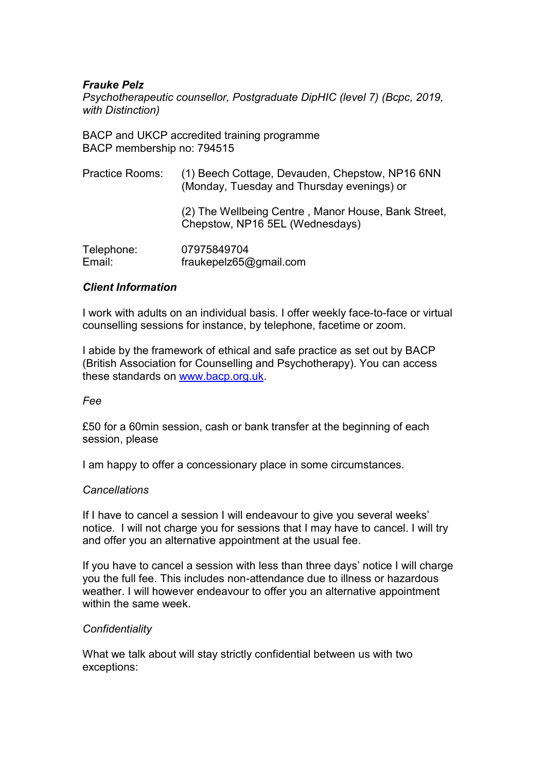# Frauke Pelz

Psychotherapeutic counsellor, Postgraduate DipHIC (level 7) (Bcpc, 2019, with Distinction)

BACP and UKCP accredited training programme BACP membership no: 794515

| Practice Rooms:      | (1) Beech Cottage, Devauden, Chepstow, NP16 6NN<br>(Monday, Tuesday and Thursday evenings) or |
|----------------------|-----------------------------------------------------------------------------------------------|
|                      | (2) The Wellbeing Centre, Manor House, Bank Street,<br>Chepstow, NP16 5EL (Wednesdays)        |
| Telephone:<br>Email: | 07975849704<br>fraukepelz65@gmail.com                                                         |

# Client Information

I work with adults on an individual basis. I offer weekly face-to-face or virtual counselling sessions for instance, by telephone, facetime or zoom.

I abide by the framework of ethical and safe practice as set out by BACP (British Association for Counselling and Psychotherapy). You can access these standards on www.bacp.org.uk.

#### Fee

£50 for a 60min session, cash or bank transfer at the beginning of each session, please

I am happy to offer a concessionary place in some circumstances.

#### **Cancellations**

If I have to cancel a session I will endeavour to give you several weeks' notice. I will not charge you for sessions that I may have to cancel. I will try and offer you an alternative appointment at the usual fee.

If you have to cancel a session with less than three days' notice I will charge you the full fee. This includes non-attendance due to illness or hazardous weather. I will however endeavour to offer you an alternative appointment within the same week.

# **Confidentiality**

What we talk about will stay strictly confidential between us with two exceptions: